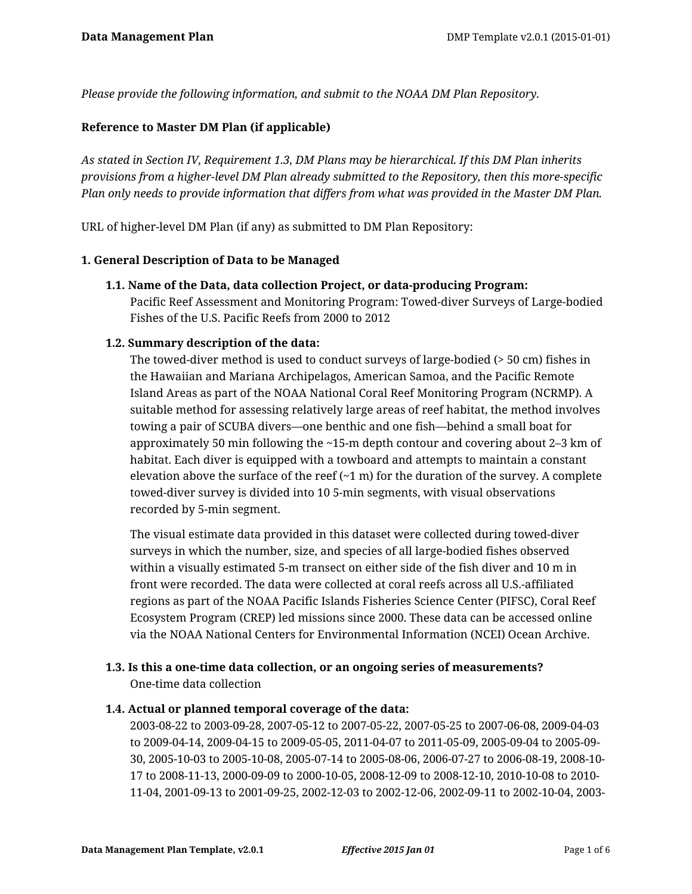*Please provide the following information, and submit to the NOAA DM Plan Repository.*

#### **Reference to Master DM Plan (if applicable)**

*As stated in Section IV, Requirement 1.3, DM Plans may be hierarchical. If this DM Plan inherits provisions from a higher-level DM Plan already submitted to the Repository, then this more-specific Plan only needs to provide information that differs from what was provided in the Master DM Plan.*

URL of higher-level DM Plan (if any) as submitted to DM Plan Repository:

#### **1. General Description of Data to be Managed**

**1.1. Name of the Data, data collection Project, or data-producing Program:** Pacific Reef Assessment and Monitoring Program: Towed-diver Surveys of Large-bodied Fishes of the U.S. Pacific Reefs from 2000 to 2012

## **1.2. Summary description of the data:**

The towed-diver method is used to conduct surveys of large-bodied (> 50 cm) fishes in the Hawaiian and Mariana Archipelagos, American Samoa, and the Pacific Remote Island Areas as part of the NOAA National Coral Reef Monitoring Program (NCRMP). A suitable method for assessing relatively large areas of reef habitat, the method involves towing a pair of SCUBA divers—one benthic and one fish—behind a small boat for approximately 50 min following the ~15-m depth contour and covering about 2–3 km of habitat. Each diver is equipped with a towboard and attempts to maintain a constant elevation above the surface of the reef  $(\sim 1 \text{ m})$  for the duration of the survey. A complete towed-diver survey is divided into 10 5-min segments, with visual observations recorded by 5-min segment.

The visual estimate data provided in this dataset were collected during towed-diver surveys in which the number, size, and species of all large-bodied fishes observed within a visually estimated 5-m transect on either side of the fish diver and 10 m in front were recorded. The data were collected at coral reefs across all U.S.-affiliated regions as part of the NOAA Pacific Islands Fisheries Science Center (PIFSC), Coral Reef Ecosystem Program (CREP) led missions since 2000. These data can be accessed online via the NOAA National Centers for Environmental Information (NCEI) Ocean Archive.

# **1.3. Is this a one-time data collection, or an ongoing series of measurements?**

One-time data collection

## **1.4. Actual or planned temporal coverage of the data:**

2003-08-22 to 2003-09-28, 2007-05-12 to 2007-05-22, 2007-05-25 to 2007-06-08, 2009-04-03 to 2009-04-14, 2009-04-15 to 2009-05-05, 2011-04-07 to 2011-05-09, 2005-09-04 to 2005-09- 30, 2005-10-03 to 2005-10-08, 2005-07-14 to 2005-08-06, 2006-07-27 to 2006-08-19, 2008-10- 17 to 2008-11-13, 2000-09-09 to 2000-10-05, 2008-12-09 to 2008-12-10, 2010-10-08 to 2010- 11-04, 2001-09-13 to 2001-09-25, 2002-12-03 to 2002-12-06, 2002-09-11 to 2002-10-04, 2003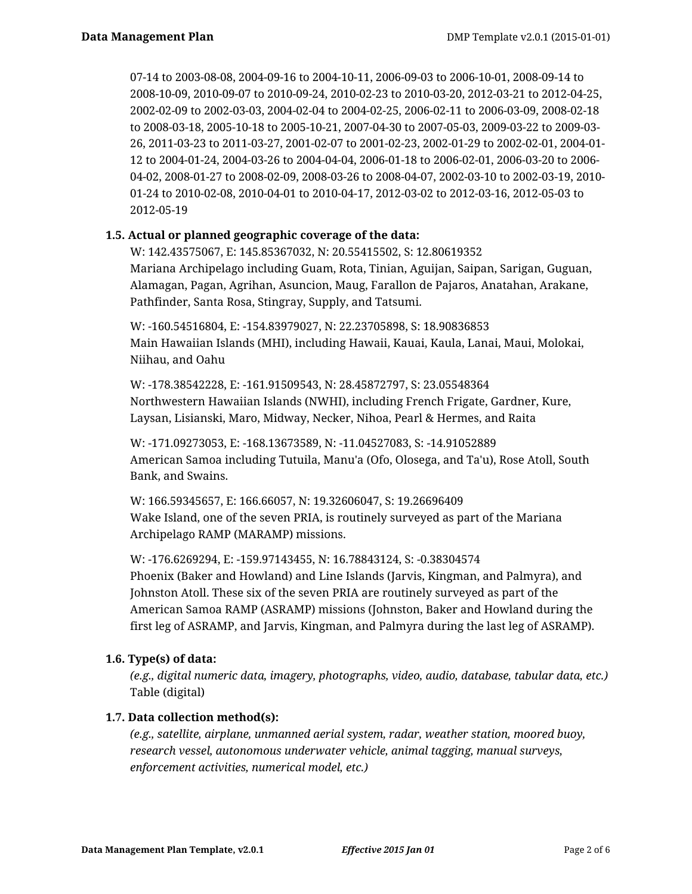07-14 to 2003-08-08, 2004-09-16 to 2004-10-11, 2006-09-03 to 2006-10-01, 2008-09-14 to 2008-10-09, 2010-09-07 to 2010-09-24, 2010-02-23 to 2010-03-20, 2012-03-21 to 2012-04-25, 2002-02-09 to 2002-03-03, 2004-02-04 to 2004-02-25, 2006-02-11 to 2006-03-09, 2008-02-18 to 2008-03-18, 2005-10-18 to 2005-10-21, 2007-04-30 to 2007-05-03, 2009-03-22 to 2009-03- 26, 2011-03-23 to 2011-03-27, 2001-02-07 to 2001-02-23, 2002-01-29 to 2002-02-01, 2004-01- 12 to 2004-01-24, 2004-03-26 to 2004-04-04, 2006-01-18 to 2006-02-01, 2006-03-20 to 2006- 04-02, 2008-01-27 to 2008-02-09, 2008-03-26 to 2008-04-07, 2002-03-10 to 2002-03-19, 2010- 01-24 to 2010-02-08, 2010-04-01 to 2010-04-17, 2012-03-02 to 2012-03-16, 2012-05-03 to 2012-05-19

## **1.5. Actual or planned geographic coverage of the data:**

W: 142.43575067, E: 145.85367032, N: 20.55415502, S: 12.80619352 Mariana Archipelago including Guam, Rota, Tinian, Aguijan, Saipan, Sarigan, Guguan, Alamagan, Pagan, Agrihan, Asuncion, Maug, Farallon de Pajaros, Anatahan, Arakane, Pathfinder, Santa Rosa, Stingray, Supply, and Tatsumi.

W: -160.54516804, E: -154.83979027, N: 22.23705898, S: 18.90836853 Main Hawaiian Islands (MHI), including Hawaii, Kauai, Kaula, Lanai, Maui, Molokai, Niihau, and Oahu

W: -178.38542228, E: -161.91509543, N: 28.45872797, S: 23.05548364 Northwestern Hawaiian Islands (NWHI), including French Frigate, Gardner, Kure, Laysan, Lisianski, Maro, Midway, Necker, Nihoa, Pearl & Hermes, and Raita

W: -171.09273053, E: -168.13673589, N: -11.04527083, S: -14.91052889 American Samoa including Tutuila, Manu'a (Ofo, Olosega, and Ta'u), Rose Atoll, South Bank, and Swains.

W: 166.59345657, E: 166.66057, N: 19.32606047, S: 19.26696409 Wake Island, one of the seven PRIA, is routinely surveyed as part of the Mariana Archipelago RAMP (MARAMP) missions.

W: -176.6269294, E: -159.97143455, N: 16.78843124, S: -0.38304574 Phoenix (Baker and Howland) and Line Islands (Jarvis, Kingman, and Palmyra), and Johnston Atoll. These six of the seven PRIA are routinely surveyed as part of the American Samoa RAMP (ASRAMP) missions (Johnston, Baker and Howland during the first leg of ASRAMP, and Jarvis, Kingman, and Palmyra during the last leg of ASRAMP).

## **1.6. Type(s) of data:**

*(e.g., digital numeric data, imagery, photographs, video, audio, database, tabular data, etc.)* Table (digital)

# **1.7. Data collection method(s):**

*(e.g., satellite, airplane, unmanned aerial system, radar, weather station, moored buoy, research vessel, autonomous underwater vehicle, animal tagging, manual surveys, enforcement activities, numerical model, etc.)*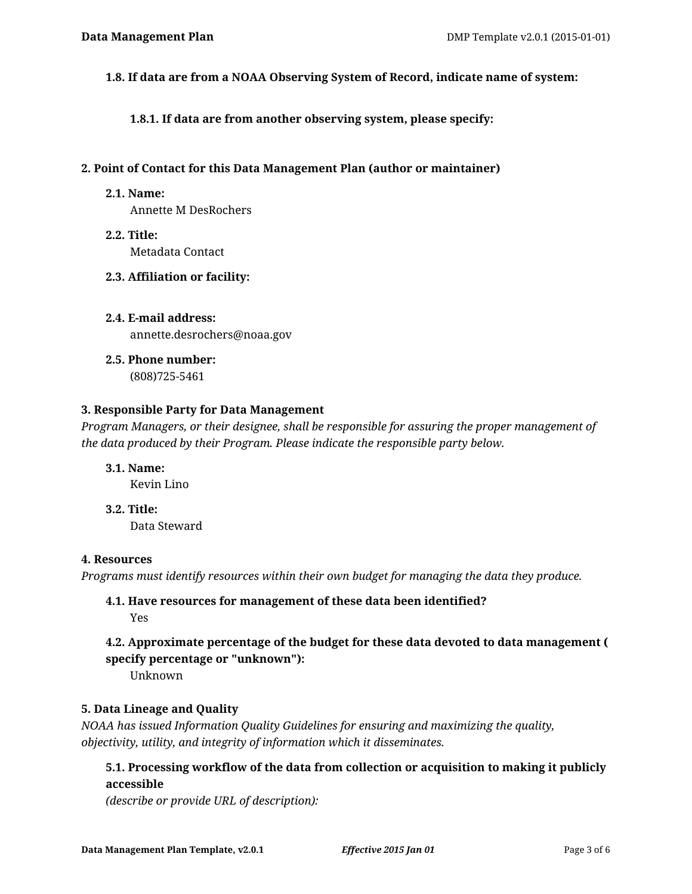**1.8. If data are from a NOAA Observing System of Record, indicate name of system:**

**1.8.1. If data are from another observing system, please specify:**

#### **2. Point of Contact for this Data Management Plan (author or maintainer)**

**2.1. Name:**

Annette M DesRochers

- **2.2. Title:** Metadata Contact
- **2.3. Affiliation or facility:**
- **2.4. E-mail address:** annette.desrochers@noaa.gov
- **2.5. Phone number:** (808)725-5461

#### **3. Responsible Party for Data Management**

*Program Managers, or their designee, shall be responsible for assuring the proper management of the data produced by their Program. Please indicate the responsible party below.*

- **3.1. Name:** Kevin Lino
- **3.2. Title:** Data Steward

#### **4. Resources**

*Programs must identify resources within their own budget for managing the data they produce.*

## **4.1. Have resources for management of these data been identified?** Yes

# **4.2. Approximate percentage of the budget for these data devoted to data management ( specify percentage or "unknown"):**

Unknown

## **5. Data Lineage and Quality**

*NOAA has issued Information Quality Guidelines for ensuring and maximizing the quality, objectivity, utility, and integrity of information which it disseminates.*

## **5.1. Processing workflow of the data from collection or acquisition to making it publicly accessible**

*(describe or provide URL of description):*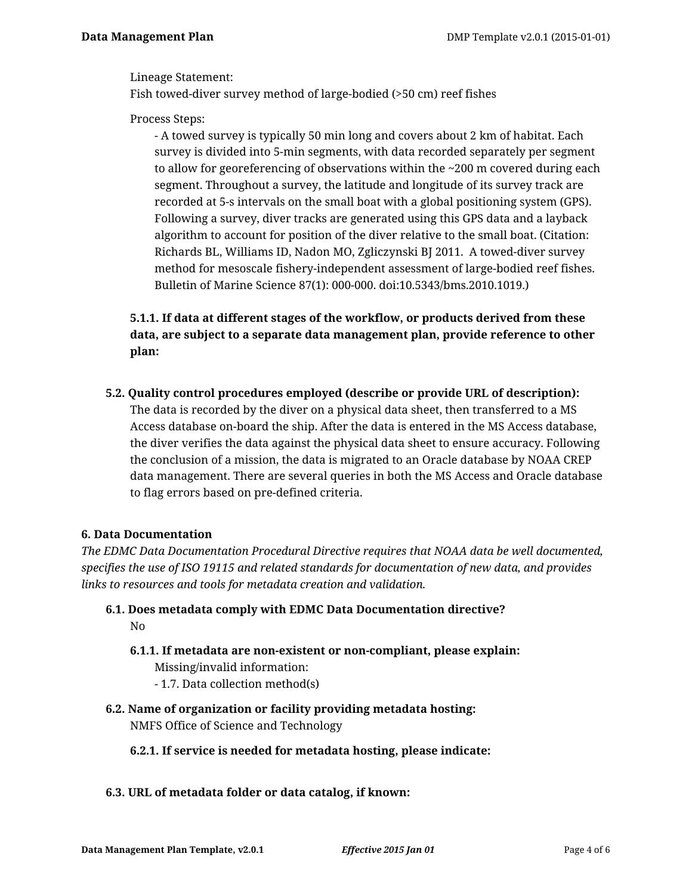Lineage Statement:

Fish towed-diver survey method of large-bodied (>50 cm) reef fishes

Process Steps:

- A towed survey is typically 50 min long and covers about 2 km of habitat. Each survey is divided into 5-min segments, with data recorded separately per segment to allow for georeferencing of observations within the  $\sim$ 200 m covered during each segment. Throughout a survey, the latitude and longitude of its survey track are recorded at 5-s intervals on the small boat with a global positioning system (GPS). Following a survey, diver tracks are generated using this GPS data and a layback algorithm to account for position of the diver relative to the small boat. (Citation: Richards BL, Williams ID, Nadon MO, Zgliczynski BJ 2011. A towed-diver survey method for mesoscale fishery-independent assessment of large-bodied reef fishes. Bulletin of Marine Science 87(1): 000-000. doi:10.5343/bms.2010.1019.)

**5.1.1. If data at different stages of the workflow, or products derived from these data, are subject to a separate data management plan, provide reference to other plan:**

**5.2. Quality control procedures employed (describe or provide URL of description):** The data is recorded by the diver on a physical data sheet, then transferred to a MS Access database on-board the ship. After the data is entered in the MS Access database, the diver verifies the data against the physical data sheet to ensure accuracy. Following the conclusion of a mission, the data is migrated to an Oracle database by NOAA CREP data management. There are several queries in both the MS Access and Oracle database to flag errors based on pre-defined criteria.

## **6. Data Documentation**

*The EDMC Data Documentation Procedural Directive requires that NOAA data be well documented, specifies the use of ISO 19115 and related standards for documentation of new data, and provides links to resources and tools for metadata creation and validation.*

- **6.1. Does metadata comply with EDMC Data Documentation directive?** No
	- **6.1.1. If metadata are non-existent or non-compliant, please explain:**

Missing/invalid information:

- 1.7. Data collection method(s)
- **6.2. Name of organization or facility providing metadata hosting:**

NMFS Office of Science and Technology

**6.2.1. If service is needed for metadata hosting, please indicate:**

#### **6.3. URL of metadata folder or data catalog, if known:**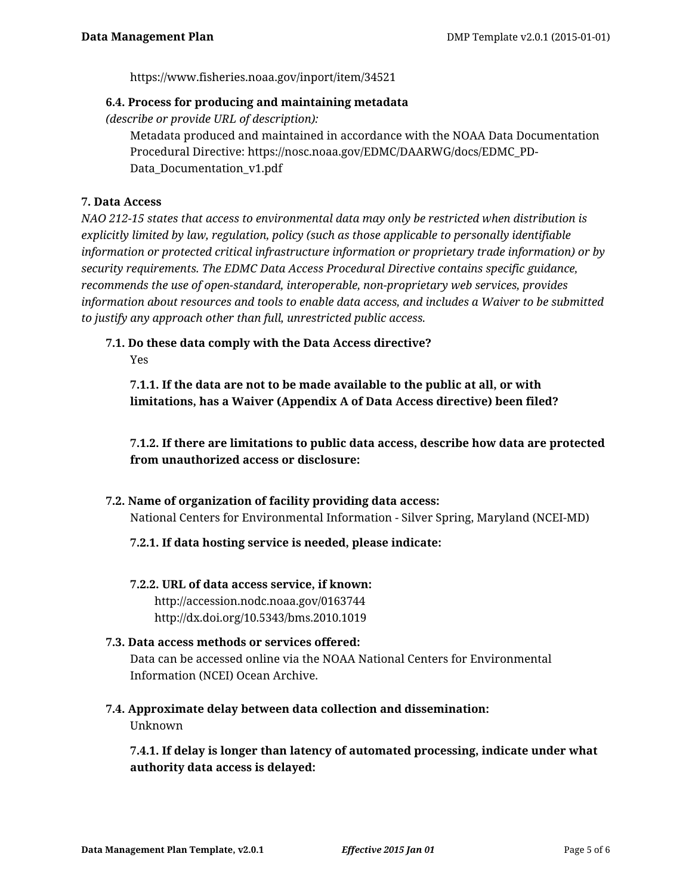https://www.fisheries.noaa.gov/inport/item/34521

#### **6.4. Process for producing and maintaining metadata**

*(describe or provide URL of description):*

Metadata produced and maintained in accordance with the NOAA Data Documentation Procedural Directive: https://nosc.noaa.gov/EDMC/DAARWG/docs/EDMC\_PD-Data Documentation v1.pdf

## **7. Data Access**

*NAO 212-15 states that access to environmental data may only be restricted when distribution is explicitly limited by law, regulation, policy (such as those applicable to personally identifiable information or protected critical infrastructure information or proprietary trade information) or by security requirements. The EDMC Data Access Procedural Directive contains specific guidance, recommends the use of open-standard, interoperable, non-proprietary web services, provides information about resources and tools to enable data access, and includes a Waiver to be submitted to justify any approach other than full, unrestricted public access.*

**7.1. Do these data comply with the Data Access directive?**

Yes

**7.1.1. If the data are not to be made available to the public at all, or with limitations, has a Waiver (Appendix A of Data Access directive) been filed?**

**7.1.2. If there are limitations to public data access, describe how data are protected from unauthorized access or disclosure:**

**7.2. Name of organization of facility providing data access:** National Centers for Environmental Information - Silver Spring, Maryland (NCEI-MD)

## **7.2.1. If data hosting service is needed, please indicate:**

**7.2.2. URL of data access service, if known:** http://accession.nodc.noaa.gov/0163744 http://dx.doi.org/10.5343/bms.2010.1019

# **7.3. Data access methods or services offered:** Data can be accessed online via the NOAA National Centers for Environmental Information (NCEI) Ocean Archive.

**7.4. Approximate delay between data collection and dissemination:** Unknown

**7.4.1. If delay is longer than latency of automated processing, indicate under what authority data access is delayed:**